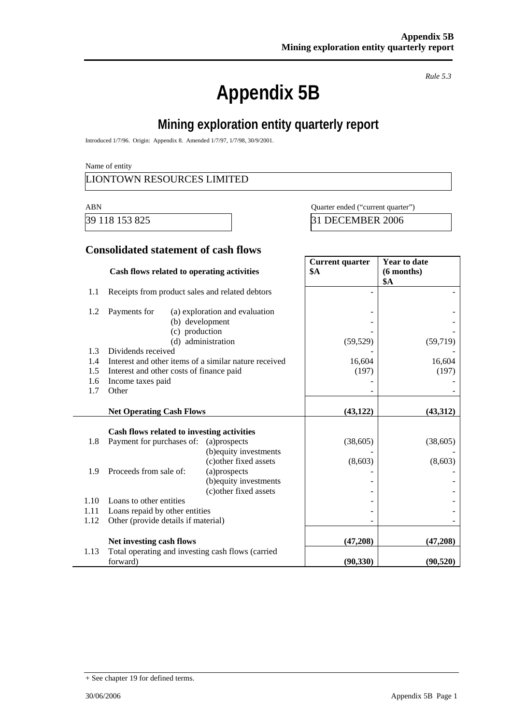# **Appendix 5B**

*Rule 5.3* 

### **Mining exploration entity quarterly report**

Introduced 1/7/96. Origin: Appendix 8. Amended 1/7/97, 1/7/98, 30/9/2001.

Name of entity

#### LIONTOWN RESOURCES LIMITED

ABN Quarter ended ("current quarter")

39 118 153 825 31 DECEMBER 2006

#### **Consolidated statement of cash flows**

|      | Cash flows related to operating activities                              |                                                                                                                      | <b>Current quarter</b><br><b>\$A</b> | <b>Year to date</b><br>$(6$ months)<br><b>\$A</b> |
|------|-------------------------------------------------------------------------|----------------------------------------------------------------------------------------------------------------------|--------------------------------------|---------------------------------------------------|
| 1.1  | Receipts from product sales and related debtors                         |                                                                                                                      |                                      |                                                   |
| 1.2  | Payments for<br>(c) production                                          | (a) exploration and evaluation<br>(b) development                                                                    |                                      |                                                   |
| 1.3  | Dividends received                                                      | (d) administration                                                                                                   | (59, 529)                            | (59, 719)                                         |
| 1.4  | Interest and other items of a similar nature received                   |                                                                                                                      | 16,604                               | 16,604                                            |
| 1.5  | Interest and other costs of finance paid                                |                                                                                                                      | (197)                                | (197)                                             |
| 1.6  | Income taxes paid                                                       |                                                                                                                      |                                      |                                                   |
| 1.7  | Other                                                                   |                                                                                                                      |                                      |                                                   |
|      | <b>Net Operating Cash Flows</b>                                         |                                                                                                                      | (43, 122)                            | (43,312)                                          |
| 1.8  | Cash flows related to investing activities<br>Payment for purchases of: | (a)prospects                                                                                                         | (38, 605)                            | (38, 605)                                         |
| 1.9  | Proceeds from sale of:                                                  | (b) equity investments<br>(c) other fixed assets<br>(a)prospects<br>(b) equity investments<br>(c) other fixed assets | (8,603)                              | (8,603)                                           |
| 1.10 | Loans to other entities                                                 |                                                                                                                      |                                      |                                                   |
| 1.11 | Loans repaid by other entities                                          |                                                                                                                      |                                      |                                                   |
| 1.12 | Other (provide details if material)                                     |                                                                                                                      |                                      |                                                   |
|      | Net investing cash flows                                                |                                                                                                                      | (47,208)                             | (47,208)                                          |
| 1.13 | Total operating and investing cash flows (carried<br>forward)           |                                                                                                                      | (90, 330)                            | (90, 520)                                         |

<sup>+</sup> See chapter 19 for defined terms.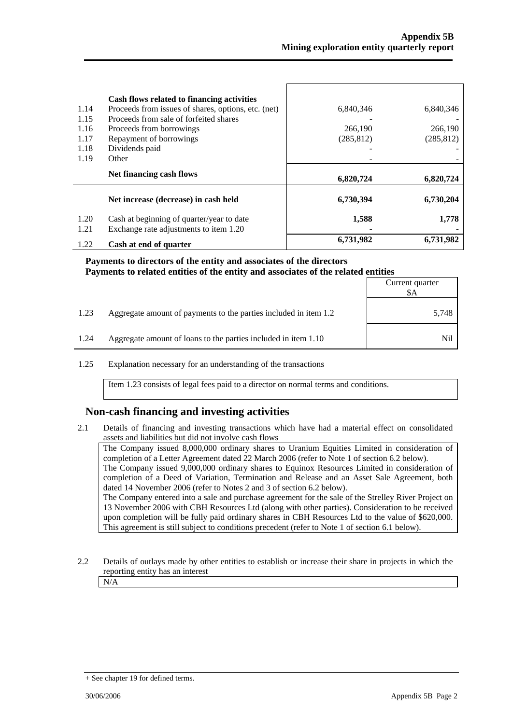|              | Cash flows related to financing activities                                          |            |            |
|--------------|-------------------------------------------------------------------------------------|------------|------------|
| 1.14         | Proceeds from issues of shares, options, etc. (net)                                 | 6,840,346  | 6,840,346  |
| 1.15         | Proceeds from sale of forfeited shares                                              |            |            |
| 1.16         | Proceeds from borrowings                                                            | 266,190    | 266,190    |
| 1.17         | Repayment of borrowings                                                             | (285, 812) | (285, 812) |
| 1.18         | Dividends paid                                                                      |            |            |
| 1.19         | Other                                                                               |            |            |
|              | Net financing cash flows                                                            | 6,820,724  | 6,820,724  |
|              | Net increase (decrease) in cash held                                                | 6,730,394  | 6,730,204  |
| 1.20<br>1.21 | Cash at beginning of quarter/year to date<br>Exchange rate adjustments to item 1.20 | 1,588      | 1,778      |
| 1.22         | Cash at end of quarter                                                              | 6,731,982  | 6,731,982  |

**Payments to directors of the entity and associates of the directors Payments to related entities of the entity and associates of the related entities**

|      |                                                                  | Current quarter<br>\$A |
|------|------------------------------------------------------------------|------------------------|
| 1.23 | Aggregate amount of payments to the parties included in item 1.2 | 5,748                  |
| 1.24 | Aggregate amount of loans to the parties included in item 1.10   | Nil                    |

1.25 Explanation necessary for an understanding of the transactions

Item 1.23 consists of legal fees paid to a director on normal terms and conditions.

#### **Non-cash financing and investing activities**

2.1 Details of financing and investing transactions which have had a material effect on consolidated assets and liabilities but did not involve cash flows

The Company issued 8,000,000 ordinary shares to Uranium Equities Limited in consideration of completion of a Letter Agreement dated 22 March 2006 (refer to Note 1 of section 6.2 below). The Company issued 9,000,000 ordinary shares to Equinox Resources Limited in consideration of completion of a Deed of Variation, Termination and Release and an Asset Sale Agreement, both dated 14 November 2006 (refer to Notes 2 and 3 of section 6.2 below). The Company entered into a sale and purchase agreement for the sale of the Strelley River Project on 13 November 2006 with CBH Resources Ltd (along with other parties). Consideration to be received upon completion will be fully paid ordinary shares in CBH Resources Ltd to the value of \$620,000. This agreement is still subject to conditions precedent (refer to Note 1 of section 6.1 below).

2.2 Details of outlays made by other entities to establish or increase their share in projects in which the reporting entity has an interest

N/A

<sup>+</sup> See chapter 19 for defined terms.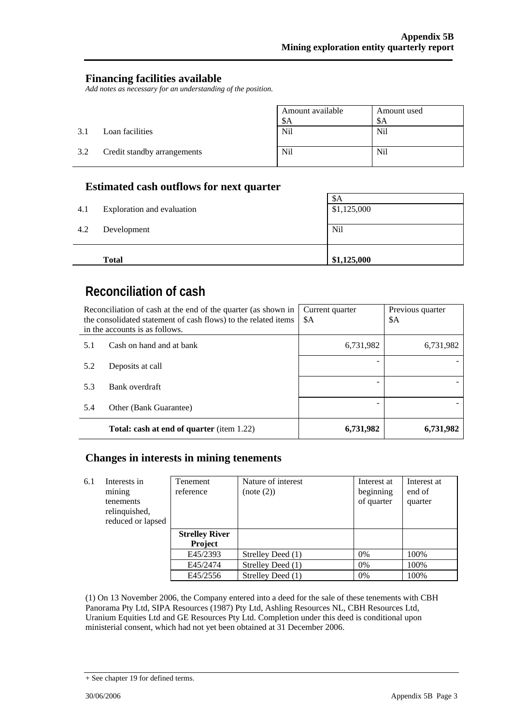#### **Financing facilities available**

*Add notes as necessary for an understanding of the position.* 

|     |                             | Amount available<br>\$A | Amount used<br>\$A |
|-----|-----------------------------|-------------------------|--------------------|
| 3.1 | Loan facilities             | Nil                     | <b>Nil</b>         |
| 3.2 | Credit standby arrangements | <b>Nil</b>              | <b>Nil</b>         |

#### **Estimated cash outflows for next quarter**

|     | <b>Total</b>               | \$1,125,000 |
|-----|----------------------------|-------------|
| 4.2 | Development                | Nil         |
|     |                            |             |
| 4.1 | Exploration and evaluation | \$1,125,000 |
|     |                            | \$A         |

## **Reconciliation of cash**

| Reconciliation of cash at the end of the quarter (as shown in<br>the consolidated statement of cash flows) to the related items<br>in the accounts is as follows. |                                                  | Current quarter<br>\$A | Previous quarter<br>\$A |
|-------------------------------------------------------------------------------------------------------------------------------------------------------------------|--------------------------------------------------|------------------------|-------------------------|
| 5.1                                                                                                                                                               | Cash on hand and at bank                         | 6,731,982              | 6,731,982               |
| 5.2                                                                                                                                                               | Deposits at call                                 |                        |                         |
| 5.3                                                                                                                                                               | Bank overdraft                                   |                        |                         |
| 5.4                                                                                                                                                               | Other (Bank Guarantee)                           |                        |                         |
|                                                                                                                                                                   | <b>Total: cash at end of quarter</b> (item 1.22) | 6,731,982              | 6,731,982               |

#### **Changes in interests in mining tenements**

| 6.1 | Interests in<br>mining<br>tenements<br>relinquished,<br>reduced or lapsed | Tenement<br>reference | Nature of interest<br>(note (2)) | Interest at<br>beginning<br>of quarter | Interest at<br>end of<br>quarter |
|-----|---------------------------------------------------------------------------|-----------------------|----------------------------------|----------------------------------------|----------------------------------|
|     |                                                                           | <b>Strelley River</b> |                                  |                                        |                                  |
|     |                                                                           | <b>Project</b>        |                                  |                                        |                                  |
|     |                                                                           | E45/2393              | Strelley Deed (1)                | $0\%$                                  | 100%                             |
|     |                                                                           | E45/2474              | Strelley Deed (1)                | $0\%$                                  | 100%                             |
|     |                                                                           | E45/2556              | Strelley Deed (1)                | 0%                                     | 100%                             |

(1) On 13 November 2006, the Company entered into a deed for the sale of these tenements with CBH Panorama Pty Ltd, SIPA Resources (1987) Pty Ltd, Ashling Resources NL, CBH Resources Ltd, Uranium Equities Ltd and GE Resources Pty Ltd. Completion under this deed is conditional upon ministerial consent, which had not yet been obtained at 31 December 2006.

<sup>+</sup> See chapter 19 for defined terms.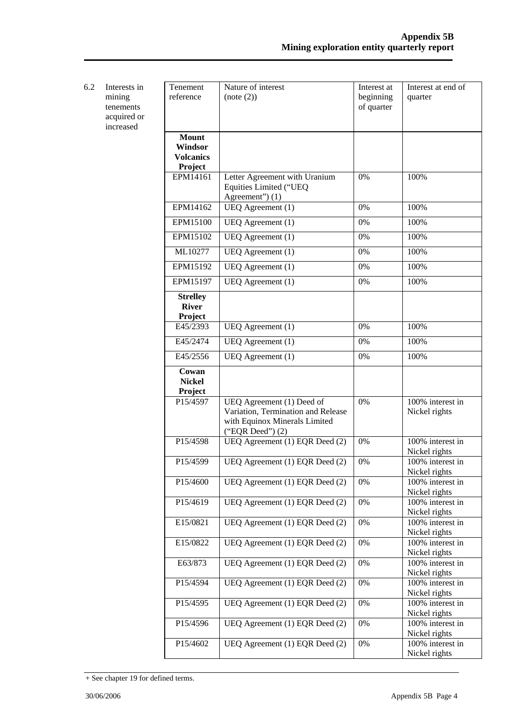| 6.2 | Interests in<br>mining<br>tenements<br>acquired or<br>increased | Tenement<br>reference                                  | Nature of interest<br>(note (2))                                                                                       | Interest at<br>beginning<br>of quarter | Interest at end of<br>quarter     |
|-----|-----------------------------------------------------------------|--------------------------------------------------------|------------------------------------------------------------------------------------------------------------------------|----------------------------------------|-----------------------------------|
|     |                                                                 | <b>Mount</b><br>Windsor<br><b>Volcanics</b><br>Project |                                                                                                                        |                                        |                                   |
|     |                                                                 | EPM14161                                               | Letter Agreement with Uranium<br>Equities Limited ("UEQ<br>Agreement") (1)                                             | 0%                                     | 100%                              |
|     |                                                                 | EPM14162                                               | UEQ Agreement (1)                                                                                                      | $0\%$                                  | 100%                              |
|     |                                                                 | EPM15100                                               | UEQ Agreement (1)                                                                                                      | 0%                                     | 100%                              |
|     |                                                                 | EPM15102                                               | UEQ Agreement (1)                                                                                                      | 0%                                     | 100%                              |
|     |                                                                 | ML10277                                                | UEQ Agreement (1)                                                                                                      | 0%                                     | 100%                              |
|     |                                                                 | EPM15192                                               | UEQ Agreement (1)                                                                                                      | 0%                                     | 100%                              |
|     |                                                                 | EPM15197                                               | UEQ Agreement (1)                                                                                                      | 0%                                     | 100%                              |
|     |                                                                 | <b>Strelley</b><br><b>River</b>                        |                                                                                                                        |                                        |                                   |
|     |                                                                 | Project<br>E45/2393                                    | UEQ Agreement (1)                                                                                                      | 0%                                     | 100%                              |
|     |                                                                 | E45/2474                                               | UEQ Agreement (1)                                                                                                      | 0%                                     | 100%                              |
|     |                                                                 | E45/2556                                               | UEQ Agreement (1)                                                                                                      | $0\%$                                  | 100%                              |
|     |                                                                 | Cowan<br><b>Nickel</b><br><b>Project</b>               |                                                                                                                        |                                        |                                   |
|     |                                                                 | P15/4597                                               | UEQ Agreement (1) Deed of<br>Variation, Termination and Release<br>with Equinox Minerals Limited<br>("EQR Deed") $(2)$ | 0%                                     | 100% interest in<br>Nickel rights |
|     |                                                                 | P15/4598                                               | UEQ Agreement (1) EQR Deed (2)                                                                                         | 0%                                     | 100% interest in<br>Nickel rights |
|     |                                                                 | P15/4599                                               | UEQ Agreement (1) EQR Deed (2)                                                                                         | 0%                                     | 100% interest in<br>Nickel rights |
|     |                                                                 | P15/4600                                               | UEQ Agreement (1) EQR Deed (2)                                                                                         | 0%                                     | 100% interest in<br>Nickel rights |
|     |                                                                 | P15/4619                                               | UEQ Agreement (1) EQR Deed (2)                                                                                         | 0%                                     | 100% interest in<br>Nickel rights |
|     |                                                                 | E15/0821                                               | UEQ Agreement (1) EQR Deed (2)                                                                                         | 0%                                     | 100% interest in<br>Nickel rights |
|     |                                                                 | E15/0822                                               | UEQ Agreement (1) EQR Deed (2)                                                                                         | 0%                                     | 100% interest in<br>Nickel rights |
|     |                                                                 | E63/873                                                | UEQ Agreement (1) EQR Deed (2)                                                                                         | $0\%$                                  | 100% interest in<br>Nickel rights |
|     |                                                                 | P15/4594                                               | UEQ Agreement (1) EQR Deed (2)                                                                                         | $0\%$                                  | 100% interest in<br>Nickel rights |
|     |                                                                 | P15/4595                                               | UEQ Agreement (1) EQR Deed (2)                                                                                         | $0\%$                                  | 100% interest in<br>Nickel rights |
|     |                                                                 | P15/4596                                               | UEQ Agreement (1) EQR Deed (2)                                                                                         | 0%                                     | 100% interest in<br>Nickel rights |
|     |                                                                 | P15/4602                                               | UEQ Agreement (1) EQR Deed (2)                                                                                         | 0%                                     | 100% interest in<br>Nickel rights |

<sup>+</sup> See chapter 19 for defined terms.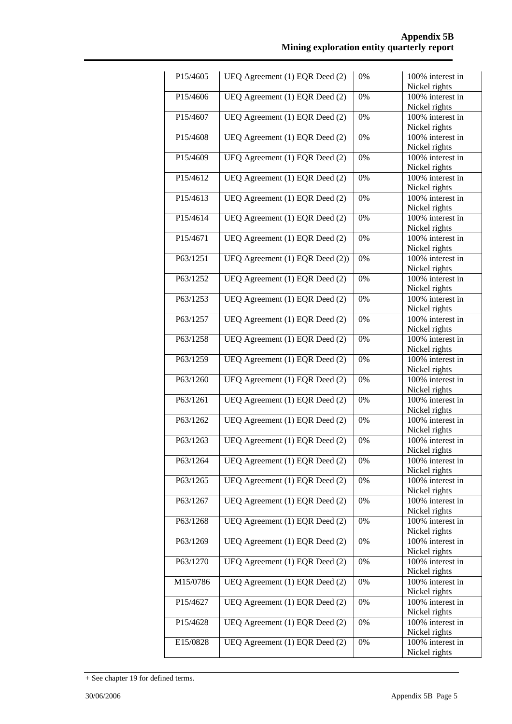| P15/4605 | UEQ Agreement (1) EQR Deed (2)     | 0% | 100% interest in                  |
|----------|------------------------------------|----|-----------------------------------|
|          |                                    |    | Nickel rights                     |
| P15/4606 | UEQ Agreement (1) EQR Deed (2)     | 0% | 100% interest in                  |
|          |                                    |    | Nickel rights                     |
| P15/4607 | UEQ Agreement (1) EQR Deed (2)     | 0% | 100% interest in                  |
|          |                                    |    | Nickel rights                     |
| P15/4608 | UEQ Agreement (1) EQR Deed (2)     | 0% | 100% interest in                  |
|          |                                    |    | Nickel rights                     |
| P15/4609 | UEQ Agreement $(1)$ EQR Deed $(2)$ | 0% | 100% interest in                  |
|          |                                    |    | Nickel rights                     |
| P15/4612 | UEQ Agreement (1) EQR Deed (2)     | 0% | 100% interest in                  |
|          |                                    |    | Nickel rights                     |
| P15/4613 | UEQ Agreement (1) EQR Deed (2)     | 0% | 100% interest in                  |
|          |                                    |    | Nickel rights                     |
| P15/4614 | UEQ Agreement (1) EQR Deed (2)     | 0% | 100% interest in                  |
|          |                                    |    | Nickel rights                     |
| P15/4671 | UEQ Agreement (1) EQR Deed (2)     | 0% | 100% interest in                  |
|          |                                    |    | Nickel rights                     |
| P63/1251 | UEQ Agreement (1) EQR Deed (2))    | 0% | 100% interest in                  |
|          |                                    |    | Nickel rights                     |
| P63/1252 | UEQ Agreement (1) EQR Deed (2)     | 0% | 100% interest in                  |
|          |                                    |    | Nickel rights                     |
| P63/1253 | UEQ Agreement (1) EQR Deed (2)     | 0% | 100% interest in                  |
|          |                                    |    | Nickel rights                     |
| P63/1257 | UEQ Agreement (1) EQR Deed (2)     | 0% | 100% interest in                  |
|          |                                    |    |                                   |
| P63/1258 | UEQ Agreement (1) EQR Deed (2)     | 0% | Nickel rights<br>100% interest in |
|          |                                    |    |                                   |
|          |                                    |    | Nickel rights                     |
| P63/1259 | UEQ Agreement (1) EQR Deed (2)     | 0% | 100% interest in                  |
|          |                                    |    | Nickel rights                     |
| P63/1260 | UEQ Agreement (1) EQR Deed (2)     | 0% | 100% interest in                  |
|          |                                    |    | Nickel rights                     |
| P63/1261 | UEQ Agreement (1) EQR Deed (2)     | 0% | 100% interest in                  |
|          |                                    |    | Nickel rights                     |
| P63/1262 | UEQ Agreement (1) EQR Deed (2)     | 0% | 100% interest in                  |
|          |                                    |    | Nickel rights                     |
| P63/1263 | UEQ Agreement (1) EQR Deed (2)     | 0% | 100% interest in                  |
|          |                                    |    | Nickel rights                     |
| P63/1264 | UEQ Agreement (1) EQR Deed (2)     | 0% | 100% interest in                  |
|          |                                    |    | Nickel rights                     |
| P63/1265 | UEQ Agreement (1) EQR Deed (2)     | 0% | 100% interest in                  |
|          |                                    |    | Nickel rights                     |
| P63/1267 | UEQ Agreement (1) EQR Deed (2)     | 0% | 100% interest in                  |
|          |                                    |    | Nickel rights                     |
| P63/1268 | UEQ Agreement (1) EQR Deed (2)     | 0% | $100\%$ interest in               |
|          |                                    |    | Nickel rights                     |
| P63/1269 | UEQ Agreement (1) EQR Deed (2)     | 0% | 100% interest in                  |
|          |                                    |    | Nickel rights                     |
| P63/1270 | UEQ Agreement (1) EQR Deed (2)     | 0% | 100% interest in                  |
|          |                                    |    | Nickel rights                     |
| M15/0786 | UEQ Agreement (1) EQR Deed (2)     | 0% | 100% interest in                  |
|          |                                    |    | Nickel rights                     |
| P15/4627 | UEQ Agreement (1) EQR Deed (2)     | 0% | 100% interest in                  |
|          |                                    |    | Nickel rights                     |
| P15/4628 | UEQ Agreement (1) EQR Deed (2)     | 0% | 100% interest in                  |
|          |                                    |    | Nickel rights                     |
| E15/0828 | UEQ Agreement (1) EQR Deed (2)     | 0% | 100% interest in                  |
|          |                                    |    | Nickel rights                     |
|          |                                    |    |                                   |

<sup>+</sup> See chapter 19 for defined terms.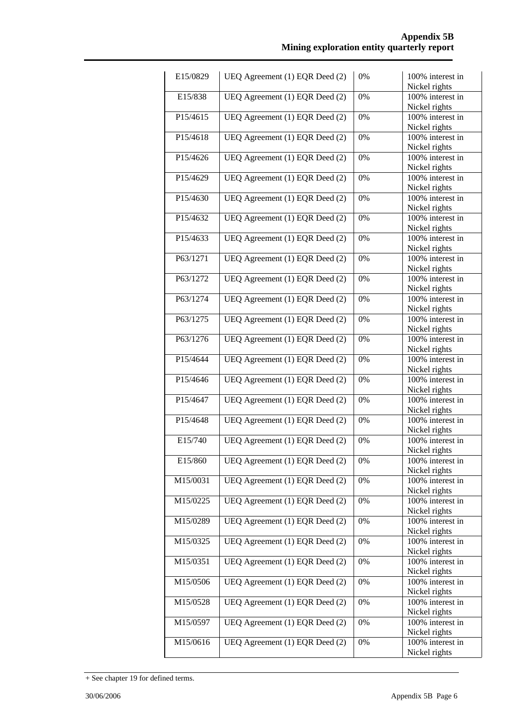| E15/0829 | UEQ Agreement (1) EQR Deed (2)     | 0%    | 100% interest in                     |
|----------|------------------------------------|-------|--------------------------------------|
|          |                                    |       | Nickel rights                        |
| E15/838  | UEQ Agreement (1) EQR Deed (2)     | 0%    | 100% interest in                     |
|          |                                    |       | Nickel rights                        |
| P15/4615 | UEQ Agreement (1) EQR Deed (2)     | 0%    | 100% interest in                     |
|          |                                    |       | Nickel rights                        |
| P15/4618 | UEQ Agreement (1) EQR Deed (2)     | 0%    | 100% interest in                     |
|          |                                    |       | Nickel rights                        |
| P15/4626 | UEQ Agreement $(1)$ EQR Deed $(2)$ | 0%    | 100% interest in                     |
|          |                                    |       | Nickel rights                        |
| P15/4629 | UEQ Agreement (1) EQR Deed (2)     | 0%    | 100% interest in                     |
| P15/4630 | UEQ Agreement (1) EQR Deed (2)     | 0%    | Nickel rights<br>100% interest in    |
|          |                                    |       | Nickel rights                        |
| P15/4632 | UEQ Agreement (1) EQR Deed (2)     | 0%    | 100% interest in                     |
|          |                                    |       | Nickel rights                        |
| P15/4633 | UEQ Agreement (1) EQR Deed (2)     | 0%    | 100% interest in                     |
|          |                                    |       | Nickel rights                        |
| P63/1271 | UEQ Agreement (1) EQR Deed (2)     | 0%    | 100% interest in                     |
|          |                                    |       | Nickel rights                        |
| P63/1272 | UEQ Agreement (1) EQR Deed (2)     | 0%    | 100% interest in                     |
|          |                                    |       | Nickel rights                        |
| P63/1274 | UEQ Agreement (1) EQR Deed (2)     | 0%    | 100% interest in                     |
|          |                                    |       | Nickel rights                        |
| P63/1275 | UEQ Agreement (1) EQR Deed (2)     | 0%    | 100% interest in                     |
|          |                                    |       | Nickel rights                        |
| P63/1276 | UEQ Agreement (1) EQR Deed (2)     | 0%    | 100% interest in                     |
| P15/4644 | UEQ Agreement (1) EQR Deed (2)     | 0%    | Nickel rights<br>100% interest in    |
|          |                                    |       | Nickel rights                        |
| P15/4646 | UEQ Agreement (1) EQR Deed (2)     | 0%    | 100% interest in                     |
|          |                                    |       | Nickel rights                        |
| P15/4647 | UEQ Agreement (1) EQR Deed (2)     | 0%    | 100% interest in                     |
|          |                                    |       | Nickel rights                        |
| P15/4648 | UEQ Agreement (1) EQR Deed (2)     | 0%    | 100% interest in                     |
|          |                                    |       | Nickel rights                        |
| E15/740  | UEQ Agreement (1) EQR Deed (2)     | 0%    | 100% interest in                     |
|          |                                    |       | Nickel rights                        |
| E15/860  | UEQ Agreement (1) EQR Deed (2)     | 0%    | 100% interest in                     |
|          |                                    |       | Nickel rights<br>100% interest in    |
| M15/0031 | UEQ Agreement (1) EQR Deed (2)     | 0%    | Nickel rights                        |
| M15/0225 | UEQ Agreement (1) EQR Deed (2)     | $0\%$ | 100% interest in                     |
|          |                                    |       | Nickel rights                        |
| M15/0289 | UEQ Agreement (1) EQR Deed (2)     | 0%    | 100% interest in                     |
|          |                                    |       | Nickel rights                        |
| M15/0325 | UEQ Agreement (1) EQR Deed (2)     | 0%    | 100% interest in                     |
|          |                                    |       | Nickel rights                        |
| M15/0351 | UEQ Agreement (1) EQR Deed (2)     | 0%    | 100% interest in                     |
|          |                                    |       | Nickel rights                        |
| M15/0506 | UEQ Agreement (1) EQR Deed (2)     | 0%    | 100% interest in                     |
|          |                                    |       | Nickel rights                        |
| M15/0528 | UEQ Agreement (1) EQR Deed (2)     | $0\%$ | 100% interest in                     |
| M15/0597 | UEQ Agreement (1) EQR Deed (2)     | $0\%$ | Nickel rights<br>$100\%$ interest in |
|          |                                    |       | Nickel rights                        |
| M15/0616 | UEQ Agreement (1) EQR Deed (2)     | 0%    | 100% interest in                     |
|          |                                    |       | Nickel rights                        |
|          |                                    |       |                                      |

<sup>+</sup> See chapter 19 for defined terms.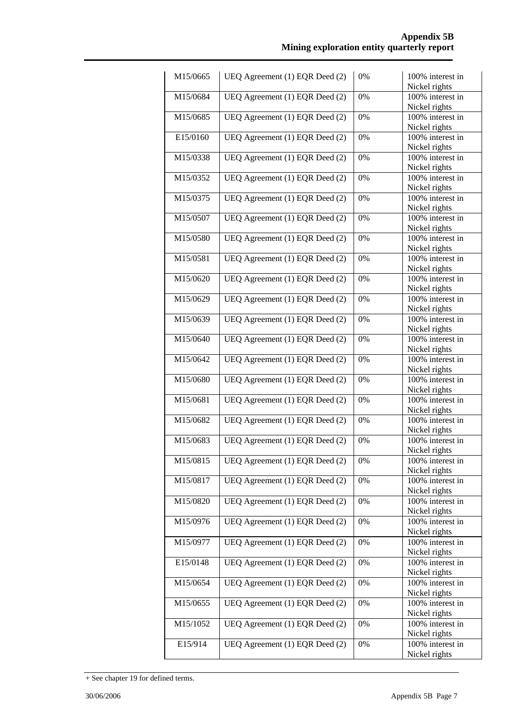| Nickel rights<br>M15/0684<br>UEQ Agreement (1) EQR Deed (2)<br>0%<br>100% interest in<br>Nickel rights<br>UEQ Agreement (1) EQR Deed (2)<br>M15/0685<br>0%<br>100% interest in<br>Nickel rights<br>UEQ Agreement (1) EQR Deed (2)<br>E15/0160<br>100% interest in<br>0%<br>Nickel rights<br>UEQ Agreement $(1)$ EQR Deed $(2)$<br>M15/0338<br>100% interest in<br>0%<br>Nickel rights<br>M15/0352<br>UEQ Agreement (1) EQR Deed (2)<br>0%<br>100% interest in<br>Nickel rights<br>M15/0375<br>UEQ Agreement (1) EQR Deed (2)<br>0%<br>100% interest in<br>Nickel rights<br>UEQ Agreement (1) EQR Deed (2)<br>M15/0507<br>100% interest in<br>0%<br>Nickel rights<br>UEQ Agreement (1) EQR Deed (2)<br>M15/0580<br>0%<br>100% interest in<br>Nickel rights<br>UEQ Agreement (1) EQR Deed (2)<br>M15/0581<br>0%<br>100% interest in<br>Nickel rights<br>M15/0620<br>UEQ Agreement (1) EQR Deed (2)<br>0%<br>100% interest in<br>Nickel rights<br>M15/0629<br>UEQ Agreement (1) EQR Deed (2)<br>0%<br>100% interest in<br>Nickel rights<br>UEQ Agreement (1) EQR Deed (2)<br>0%<br>M15/0639<br>100% interest in<br>Nickel rights<br>UEQ Agreement (1) EQR Deed (2)<br>M15/0640<br>100% interest in<br>0%<br>Nickel rights<br>UEQ Agreement (1) EQR Deed (2)<br>M15/0642<br>0%<br>100% interest in<br>Nickel rights<br>UEQ Agreement (1) EQR Deed (2)<br>M15/0680<br>100% interest in<br>0%<br>Nickel rights<br>UEQ Agreement (1) EQR Deed (2)<br>M15/0681<br>0%<br>100% interest in<br>Nickel rights<br>UEQ Agreement (1) EQR Deed (2)<br>M15/0682<br>0%<br>100% interest in<br>Nickel rights<br>UEQ Agreement (1) EQR Deed (2)<br>M15/0683<br>0%<br>100% interest in<br>Nickel rights<br>M15/0815<br>UEQ Agreement (1) EQR Deed (2)<br>100% interest in<br>0%<br>Nickel rights<br>M15/0817<br>UEQ Agreement (1) EQR Deed (2)<br>100% interest in<br>0%<br>Nickel rights<br>UEQ Agreement (1) EQR Deed (2)<br>100% interest in<br>M15/0820<br>0%<br>Nickel rights<br>UEQ Agreement (1) EQR Deed (2)<br>100% interest in<br>M15/0976<br>0%<br>Nickel rights<br>M15/0977<br>UEQ Agreement (1) EQR Deed (2)<br>100% interest in<br>0%<br>Nickel rights<br>E15/0148<br>UEQ Agreement (1) EQR Deed (2)<br>100% interest in<br>0%<br>Nickel rights<br>M15/0654<br>UEQ Agreement (1) EQR Deed (2)<br>100% interest in<br>0%<br>Nickel rights<br>M15/0655<br>UEQ Agreement (1) EQR Deed (2)<br>100% interest in<br>0%<br>Nickel rights<br>UEQ Agreement (1) EQR Deed (2)<br>0%<br>M15/1052<br>100% interest in<br>Nickel rights<br>E15/914<br>UEQ Agreement (1) EQR Deed (2)<br>0%<br>100% interest in<br>Nickel rights | M15/0665 | UEQ Agreement (1) EQR Deed (2) | 0% | 100% interest in |
|--------------------------------------------------------------------------------------------------------------------------------------------------------------------------------------------------------------------------------------------------------------------------------------------------------------------------------------------------------------------------------------------------------------------------------------------------------------------------------------------------------------------------------------------------------------------------------------------------------------------------------------------------------------------------------------------------------------------------------------------------------------------------------------------------------------------------------------------------------------------------------------------------------------------------------------------------------------------------------------------------------------------------------------------------------------------------------------------------------------------------------------------------------------------------------------------------------------------------------------------------------------------------------------------------------------------------------------------------------------------------------------------------------------------------------------------------------------------------------------------------------------------------------------------------------------------------------------------------------------------------------------------------------------------------------------------------------------------------------------------------------------------------------------------------------------------------------------------------------------------------------------------------------------------------------------------------------------------------------------------------------------------------------------------------------------------------------------------------------------------------------------------------------------------------------------------------------------------------------------------------------------------------------------------------------------------------------------------------------------------------------------------------------------------------------------------------------------------------------------------------------------------------------------------------------------------------------------------------------------|----------|--------------------------------|----|------------------|
|                                                                                                                                                                                                                                                                                                                                                                                                                                                                                                                                                                                                                                                                                                                                                                                                                                                                                                                                                                                                                                                                                                                                                                                                                                                                                                                                                                                                                                                                                                                                                                                                                                                                                                                                                                                                                                                                                                                                                                                                                                                                                                                                                                                                                                                                                                                                                                                                                                                                                                                                                                                                              |          |                                |    |                  |
|                                                                                                                                                                                                                                                                                                                                                                                                                                                                                                                                                                                                                                                                                                                                                                                                                                                                                                                                                                                                                                                                                                                                                                                                                                                                                                                                                                                                                                                                                                                                                                                                                                                                                                                                                                                                                                                                                                                                                                                                                                                                                                                                                                                                                                                                                                                                                                                                                                                                                                                                                                                                              |          |                                |    |                  |
|                                                                                                                                                                                                                                                                                                                                                                                                                                                                                                                                                                                                                                                                                                                                                                                                                                                                                                                                                                                                                                                                                                                                                                                                                                                                                                                                                                                                                                                                                                                                                                                                                                                                                                                                                                                                                                                                                                                                                                                                                                                                                                                                                                                                                                                                                                                                                                                                                                                                                                                                                                                                              |          |                                |    |                  |
|                                                                                                                                                                                                                                                                                                                                                                                                                                                                                                                                                                                                                                                                                                                                                                                                                                                                                                                                                                                                                                                                                                                                                                                                                                                                                                                                                                                                                                                                                                                                                                                                                                                                                                                                                                                                                                                                                                                                                                                                                                                                                                                                                                                                                                                                                                                                                                                                                                                                                                                                                                                                              |          |                                |    |                  |
|                                                                                                                                                                                                                                                                                                                                                                                                                                                                                                                                                                                                                                                                                                                                                                                                                                                                                                                                                                                                                                                                                                                                                                                                                                                                                                                                                                                                                                                                                                                                                                                                                                                                                                                                                                                                                                                                                                                                                                                                                                                                                                                                                                                                                                                                                                                                                                                                                                                                                                                                                                                                              |          |                                |    |                  |
|                                                                                                                                                                                                                                                                                                                                                                                                                                                                                                                                                                                                                                                                                                                                                                                                                                                                                                                                                                                                                                                                                                                                                                                                                                                                                                                                                                                                                                                                                                                                                                                                                                                                                                                                                                                                                                                                                                                                                                                                                                                                                                                                                                                                                                                                                                                                                                                                                                                                                                                                                                                                              |          |                                |    |                  |
|                                                                                                                                                                                                                                                                                                                                                                                                                                                                                                                                                                                                                                                                                                                                                                                                                                                                                                                                                                                                                                                                                                                                                                                                                                                                                                                                                                                                                                                                                                                                                                                                                                                                                                                                                                                                                                                                                                                                                                                                                                                                                                                                                                                                                                                                                                                                                                                                                                                                                                                                                                                                              |          |                                |    |                  |
|                                                                                                                                                                                                                                                                                                                                                                                                                                                                                                                                                                                                                                                                                                                                                                                                                                                                                                                                                                                                                                                                                                                                                                                                                                                                                                                                                                                                                                                                                                                                                                                                                                                                                                                                                                                                                                                                                                                                                                                                                                                                                                                                                                                                                                                                                                                                                                                                                                                                                                                                                                                                              |          |                                |    |                  |
|                                                                                                                                                                                                                                                                                                                                                                                                                                                                                                                                                                                                                                                                                                                                                                                                                                                                                                                                                                                                                                                                                                                                                                                                                                                                                                                                                                                                                                                                                                                                                                                                                                                                                                                                                                                                                                                                                                                                                                                                                                                                                                                                                                                                                                                                                                                                                                                                                                                                                                                                                                                                              |          |                                |    |                  |
|                                                                                                                                                                                                                                                                                                                                                                                                                                                                                                                                                                                                                                                                                                                                                                                                                                                                                                                                                                                                                                                                                                                                                                                                                                                                                                                                                                                                                                                                                                                                                                                                                                                                                                                                                                                                                                                                                                                                                                                                                                                                                                                                                                                                                                                                                                                                                                                                                                                                                                                                                                                                              |          |                                |    |                  |
|                                                                                                                                                                                                                                                                                                                                                                                                                                                                                                                                                                                                                                                                                                                                                                                                                                                                                                                                                                                                                                                                                                                                                                                                                                                                                                                                                                                                                                                                                                                                                                                                                                                                                                                                                                                                                                                                                                                                                                                                                                                                                                                                                                                                                                                                                                                                                                                                                                                                                                                                                                                                              |          |                                |    |                  |
|                                                                                                                                                                                                                                                                                                                                                                                                                                                                                                                                                                                                                                                                                                                                                                                                                                                                                                                                                                                                                                                                                                                                                                                                                                                                                                                                                                                                                                                                                                                                                                                                                                                                                                                                                                                                                                                                                                                                                                                                                                                                                                                                                                                                                                                                                                                                                                                                                                                                                                                                                                                                              |          |                                |    |                  |
|                                                                                                                                                                                                                                                                                                                                                                                                                                                                                                                                                                                                                                                                                                                                                                                                                                                                                                                                                                                                                                                                                                                                                                                                                                                                                                                                                                                                                                                                                                                                                                                                                                                                                                                                                                                                                                                                                                                                                                                                                                                                                                                                                                                                                                                                                                                                                                                                                                                                                                                                                                                                              |          |                                |    |                  |
|                                                                                                                                                                                                                                                                                                                                                                                                                                                                                                                                                                                                                                                                                                                                                                                                                                                                                                                                                                                                                                                                                                                                                                                                                                                                                                                                                                                                                                                                                                                                                                                                                                                                                                                                                                                                                                                                                                                                                                                                                                                                                                                                                                                                                                                                                                                                                                                                                                                                                                                                                                                                              |          |                                |    |                  |
|                                                                                                                                                                                                                                                                                                                                                                                                                                                                                                                                                                                                                                                                                                                                                                                                                                                                                                                                                                                                                                                                                                                                                                                                                                                                                                                                                                                                                                                                                                                                                                                                                                                                                                                                                                                                                                                                                                                                                                                                                                                                                                                                                                                                                                                                                                                                                                                                                                                                                                                                                                                                              |          |                                |    |                  |
|                                                                                                                                                                                                                                                                                                                                                                                                                                                                                                                                                                                                                                                                                                                                                                                                                                                                                                                                                                                                                                                                                                                                                                                                                                                                                                                                                                                                                                                                                                                                                                                                                                                                                                                                                                                                                                                                                                                                                                                                                                                                                                                                                                                                                                                                                                                                                                                                                                                                                                                                                                                                              |          |                                |    |                  |
|                                                                                                                                                                                                                                                                                                                                                                                                                                                                                                                                                                                                                                                                                                                                                                                                                                                                                                                                                                                                                                                                                                                                                                                                                                                                                                                                                                                                                                                                                                                                                                                                                                                                                                                                                                                                                                                                                                                                                                                                                                                                                                                                                                                                                                                                                                                                                                                                                                                                                                                                                                                                              |          |                                |    |                  |
|                                                                                                                                                                                                                                                                                                                                                                                                                                                                                                                                                                                                                                                                                                                                                                                                                                                                                                                                                                                                                                                                                                                                                                                                                                                                                                                                                                                                                                                                                                                                                                                                                                                                                                                                                                                                                                                                                                                                                                                                                                                                                                                                                                                                                                                                                                                                                                                                                                                                                                                                                                                                              |          |                                |    |                  |
|                                                                                                                                                                                                                                                                                                                                                                                                                                                                                                                                                                                                                                                                                                                                                                                                                                                                                                                                                                                                                                                                                                                                                                                                                                                                                                                                                                                                                                                                                                                                                                                                                                                                                                                                                                                                                                                                                                                                                                                                                                                                                                                                                                                                                                                                                                                                                                                                                                                                                                                                                                                                              |          |                                |    |                  |
|                                                                                                                                                                                                                                                                                                                                                                                                                                                                                                                                                                                                                                                                                                                                                                                                                                                                                                                                                                                                                                                                                                                                                                                                                                                                                                                                                                                                                                                                                                                                                                                                                                                                                                                                                                                                                                                                                                                                                                                                                                                                                                                                                                                                                                                                                                                                                                                                                                                                                                                                                                                                              |          |                                |    |                  |
|                                                                                                                                                                                                                                                                                                                                                                                                                                                                                                                                                                                                                                                                                                                                                                                                                                                                                                                                                                                                                                                                                                                                                                                                                                                                                                                                                                                                                                                                                                                                                                                                                                                                                                                                                                                                                                                                                                                                                                                                                                                                                                                                                                                                                                                                                                                                                                                                                                                                                                                                                                                                              |          |                                |    |                  |
|                                                                                                                                                                                                                                                                                                                                                                                                                                                                                                                                                                                                                                                                                                                                                                                                                                                                                                                                                                                                                                                                                                                                                                                                                                                                                                                                                                                                                                                                                                                                                                                                                                                                                                                                                                                                                                                                                                                                                                                                                                                                                                                                                                                                                                                                                                                                                                                                                                                                                                                                                                                                              |          |                                |    |                  |
|                                                                                                                                                                                                                                                                                                                                                                                                                                                                                                                                                                                                                                                                                                                                                                                                                                                                                                                                                                                                                                                                                                                                                                                                                                                                                                                                                                                                                                                                                                                                                                                                                                                                                                                                                                                                                                                                                                                                                                                                                                                                                                                                                                                                                                                                                                                                                                                                                                                                                                                                                                                                              |          |                                |    |                  |
|                                                                                                                                                                                                                                                                                                                                                                                                                                                                                                                                                                                                                                                                                                                                                                                                                                                                                                                                                                                                                                                                                                                                                                                                                                                                                                                                                                                                                                                                                                                                                                                                                                                                                                                                                                                                                                                                                                                                                                                                                                                                                                                                                                                                                                                                                                                                                                                                                                                                                                                                                                                                              |          |                                |    |                  |
|                                                                                                                                                                                                                                                                                                                                                                                                                                                                                                                                                                                                                                                                                                                                                                                                                                                                                                                                                                                                                                                                                                                                                                                                                                                                                                                                                                                                                                                                                                                                                                                                                                                                                                                                                                                                                                                                                                                                                                                                                                                                                                                                                                                                                                                                                                                                                                                                                                                                                                                                                                                                              |          |                                |    |                  |
|                                                                                                                                                                                                                                                                                                                                                                                                                                                                                                                                                                                                                                                                                                                                                                                                                                                                                                                                                                                                                                                                                                                                                                                                                                                                                                                                                                                                                                                                                                                                                                                                                                                                                                                                                                                                                                                                                                                                                                                                                                                                                                                                                                                                                                                                                                                                                                                                                                                                                                                                                                                                              |          |                                |    |                  |
|                                                                                                                                                                                                                                                                                                                                                                                                                                                                                                                                                                                                                                                                                                                                                                                                                                                                                                                                                                                                                                                                                                                                                                                                                                                                                                                                                                                                                                                                                                                                                                                                                                                                                                                                                                                                                                                                                                                                                                                                                                                                                                                                                                                                                                                                                                                                                                                                                                                                                                                                                                                                              |          |                                |    |                  |
|                                                                                                                                                                                                                                                                                                                                                                                                                                                                                                                                                                                                                                                                                                                                                                                                                                                                                                                                                                                                                                                                                                                                                                                                                                                                                                                                                                                                                                                                                                                                                                                                                                                                                                                                                                                                                                                                                                                                                                                                                                                                                                                                                                                                                                                                                                                                                                                                                                                                                                                                                                                                              |          |                                |    |                  |
|                                                                                                                                                                                                                                                                                                                                                                                                                                                                                                                                                                                                                                                                                                                                                                                                                                                                                                                                                                                                                                                                                                                                                                                                                                                                                                                                                                                                                                                                                                                                                                                                                                                                                                                                                                                                                                                                                                                                                                                                                                                                                                                                                                                                                                                                                                                                                                                                                                                                                                                                                                                                              |          |                                |    |                  |
|                                                                                                                                                                                                                                                                                                                                                                                                                                                                                                                                                                                                                                                                                                                                                                                                                                                                                                                                                                                                                                                                                                                                                                                                                                                                                                                                                                                                                                                                                                                                                                                                                                                                                                                                                                                                                                                                                                                                                                                                                                                                                                                                                                                                                                                                                                                                                                                                                                                                                                                                                                                                              |          |                                |    |                  |
|                                                                                                                                                                                                                                                                                                                                                                                                                                                                                                                                                                                                                                                                                                                                                                                                                                                                                                                                                                                                                                                                                                                                                                                                                                                                                                                                                                                                                                                                                                                                                                                                                                                                                                                                                                                                                                                                                                                                                                                                                                                                                                                                                                                                                                                                                                                                                                                                                                                                                                                                                                                                              |          |                                |    |                  |
|                                                                                                                                                                                                                                                                                                                                                                                                                                                                                                                                                                                                                                                                                                                                                                                                                                                                                                                                                                                                                                                                                                                                                                                                                                                                                                                                                                                                                                                                                                                                                                                                                                                                                                                                                                                                                                                                                                                                                                                                                                                                                                                                                                                                                                                                                                                                                                                                                                                                                                                                                                                                              |          |                                |    |                  |
|                                                                                                                                                                                                                                                                                                                                                                                                                                                                                                                                                                                                                                                                                                                                                                                                                                                                                                                                                                                                                                                                                                                                                                                                                                                                                                                                                                                                                                                                                                                                                                                                                                                                                                                                                                                                                                                                                                                                                                                                                                                                                                                                                                                                                                                                                                                                                                                                                                                                                                                                                                                                              |          |                                |    |                  |
|                                                                                                                                                                                                                                                                                                                                                                                                                                                                                                                                                                                                                                                                                                                                                                                                                                                                                                                                                                                                                                                                                                                                                                                                                                                                                                                                                                                                                                                                                                                                                                                                                                                                                                                                                                                                                                                                                                                                                                                                                                                                                                                                                                                                                                                                                                                                                                                                                                                                                                                                                                                                              |          |                                |    |                  |
|                                                                                                                                                                                                                                                                                                                                                                                                                                                                                                                                                                                                                                                                                                                                                                                                                                                                                                                                                                                                                                                                                                                                                                                                                                                                                                                                                                                                                                                                                                                                                                                                                                                                                                                                                                                                                                                                                                                                                                                                                                                                                                                                                                                                                                                                                                                                                                                                                                                                                                                                                                                                              |          |                                |    |                  |
|                                                                                                                                                                                                                                                                                                                                                                                                                                                                                                                                                                                                                                                                                                                                                                                                                                                                                                                                                                                                                                                                                                                                                                                                                                                                                                                                                                                                                                                                                                                                                                                                                                                                                                                                                                                                                                                                                                                                                                                                                                                                                                                                                                                                                                                                                                                                                                                                                                                                                                                                                                                                              |          |                                |    |                  |
|                                                                                                                                                                                                                                                                                                                                                                                                                                                                                                                                                                                                                                                                                                                                                                                                                                                                                                                                                                                                                                                                                                                                                                                                                                                                                                                                                                                                                                                                                                                                                                                                                                                                                                                                                                                                                                                                                                                                                                                                                                                                                                                                                                                                                                                                                                                                                                                                                                                                                                                                                                                                              |          |                                |    |                  |
|                                                                                                                                                                                                                                                                                                                                                                                                                                                                                                                                                                                                                                                                                                                                                                                                                                                                                                                                                                                                                                                                                                                                                                                                                                                                                                                                                                                                                                                                                                                                                                                                                                                                                                                                                                                                                                                                                                                                                                                                                                                                                                                                                                                                                                                                                                                                                                                                                                                                                                                                                                                                              |          |                                |    |                  |
|                                                                                                                                                                                                                                                                                                                                                                                                                                                                                                                                                                                                                                                                                                                                                                                                                                                                                                                                                                                                                                                                                                                                                                                                                                                                                                                                                                                                                                                                                                                                                                                                                                                                                                                                                                                                                                                                                                                                                                                                                                                                                                                                                                                                                                                                                                                                                                                                                                                                                                                                                                                                              |          |                                |    |                  |
|                                                                                                                                                                                                                                                                                                                                                                                                                                                                                                                                                                                                                                                                                                                                                                                                                                                                                                                                                                                                                                                                                                                                                                                                                                                                                                                                                                                                                                                                                                                                                                                                                                                                                                                                                                                                                                                                                                                                                                                                                                                                                                                                                                                                                                                                                                                                                                                                                                                                                                                                                                                                              |          |                                |    |                  |
|                                                                                                                                                                                                                                                                                                                                                                                                                                                                                                                                                                                                                                                                                                                                                                                                                                                                                                                                                                                                                                                                                                                                                                                                                                                                                                                                                                                                                                                                                                                                                                                                                                                                                                                                                                                                                                                                                                                                                                                                                                                                                                                                                                                                                                                                                                                                                                                                                                                                                                                                                                                                              |          |                                |    |                  |
|                                                                                                                                                                                                                                                                                                                                                                                                                                                                                                                                                                                                                                                                                                                                                                                                                                                                                                                                                                                                                                                                                                                                                                                                                                                                                                                                                                                                                                                                                                                                                                                                                                                                                                                                                                                                                                                                                                                                                                                                                                                                                                                                                                                                                                                                                                                                                                                                                                                                                                                                                                                                              |          |                                |    |                  |
|                                                                                                                                                                                                                                                                                                                                                                                                                                                                                                                                                                                                                                                                                                                                                                                                                                                                                                                                                                                                                                                                                                                                                                                                                                                                                                                                                                                                                                                                                                                                                                                                                                                                                                                                                                                                                                                                                                                                                                                                                                                                                                                                                                                                                                                                                                                                                                                                                                                                                                                                                                                                              |          |                                |    |                  |
|                                                                                                                                                                                                                                                                                                                                                                                                                                                                                                                                                                                                                                                                                                                                                                                                                                                                                                                                                                                                                                                                                                                                                                                                                                                                                                                                                                                                                                                                                                                                                                                                                                                                                                                                                                                                                                                                                                                                                                                                                                                                                                                                                                                                                                                                                                                                                                                                                                                                                                                                                                                                              |          |                                |    |                  |
|                                                                                                                                                                                                                                                                                                                                                                                                                                                                                                                                                                                                                                                                                                                                                                                                                                                                                                                                                                                                                                                                                                                                                                                                                                                                                                                                                                                                                                                                                                                                                                                                                                                                                                                                                                                                                                                                                                                                                                                                                                                                                                                                                                                                                                                                                                                                                                                                                                                                                                                                                                                                              |          |                                |    |                  |
|                                                                                                                                                                                                                                                                                                                                                                                                                                                                                                                                                                                                                                                                                                                                                                                                                                                                                                                                                                                                                                                                                                                                                                                                                                                                                                                                                                                                                                                                                                                                                                                                                                                                                                                                                                                                                                                                                                                                                                                                                                                                                                                                                                                                                                                                                                                                                                                                                                                                                                                                                                                                              |          |                                |    |                  |
|                                                                                                                                                                                                                                                                                                                                                                                                                                                                                                                                                                                                                                                                                                                                                                                                                                                                                                                                                                                                                                                                                                                                                                                                                                                                                                                                                                                                                                                                                                                                                                                                                                                                                                                                                                                                                                                                                                                                                                                                                                                                                                                                                                                                                                                                                                                                                                                                                                                                                                                                                                                                              |          |                                |    |                  |
|                                                                                                                                                                                                                                                                                                                                                                                                                                                                                                                                                                                                                                                                                                                                                                                                                                                                                                                                                                                                                                                                                                                                                                                                                                                                                                                                                                                                                                                                                                                                                                                                                                                                                                                                                                                                                                                                                                                                                                                                                                                                                                                                                                                                                                                                                                                                                                                                                                                                                                                                                                                                              |          |                                |    |                  |
|                                                                                                                                                                                                                                                                                                                                                                                                                                                                                                                                                                                                                                                                                                                                                                                                                                                                                                                                                                                                                                                                                                                                                                                                                                                                                                                                                                                                                                                                                                                                                                                                                                                                                                                                                                                                                                                                                                                                                                                                                                                                                                                                                                                                                                                                                                                                                                                                                                                                                                                                                                                                              |          |                                |    |                  |
|                                                                                                                                                                                                                                                                                                                                                                                                                                                                                                                                                                                                                                                                                                                                                                                                                                                                                                                                                                                                                                                                                                                                                                                                                                                                                                                                                                                                                                                                                                                                                                                                                                                                                                                                                                                                                                                                                                                                                                                                                                                                                                                                                                                                                                                                                                                                                                                                                                                                                                                                                                                                              |          |                                |    |                  |
|                                                                                                                                                                                                                                                                                                                                                                                                                                                                                                                                                                                                                                                                                                                                                                                                                                                                                                                                                                                                                                                                                                                                                                                                                                                                                                                                                                                                                                                                                                                                                                                                                                                                                                                                                                                                                                                                                                                                                                                                                                                                                                                                                                                                                                                                                                                                                                                                                                                                                                                                                                                                              |          |                                |    |                  |
|                                                                                                                                                                                                                                                                                                                                                                                                                                                                                                                                                                                                                                                                                                                                                                                                                                                                                                                                                                                                                                                                                                                                                                                                                                                                                                                                                                                                                                                                                                                                                                                                                                                                                                                                                                                                                                                                                                                                                                                                                                                                                                                                                                                                                                                                                                                                                                                                                                                                                                                                                                                                              |          |                                |    |                  |
|                                                                                                                                                                                                                                                                                                                                                                                                                                                                                                                                                                                                                                                                                                                                                                                                                                                                                                                                                                                                                                                                                                                                                                                                                                                                                                                                                                                                                                                                                                                                                                                                                                                                                                                                                                                                                                                                                                                                                                                                                                                                                                                                                                                                                                                                                                                                                                                                                                                                                                                                                                                                              |          |                                |    |                  |
|                                                                                                                                                                                                                                                                                                                                                                                                                                                                                                                                                                                                                                                                                                                                                                                                                                                                                                                                                                                                                                                                                                                                                                                                                                                                                                                                                                                                                                                                                                                                                                                                                                                                                                                                                                                                                                                                                                                                                                                                                                                                                                                                                                                                                                                                                                                                                                                                                                                                                                                                                                                                              |          |                                |    |                  |
|                                                                                                                                                                                                                                                                                                                                                                                                                                                                                                                                                                                                                                                                                                                                                                                                                                                                                                                                                                                                                                                                                                                                                                                                                                                                                                                                                                                                                                                                                                                                                                                                                                                                                                                                                                                                                                                                                                                                                                                                                                                                                                                                                                                                                                                                                                                                                                                                                                                                                                                                                                                                              |          |                                |    |                  |
|                                                                                                                                                                                                                                                                                                                                                                                                                                                                                                                                                                                                                                                                                                                                                                                                                                                                                                                                                                                                                                                                                                                                                                                                                                                                                                                                                                                                                                                                                                                                                                                                                                                                                                                                                                                                                                                                                                                                                                                                                                                                                                                                                                                                                                                                                                                                                                                                                                                                                                                                                                                                              |          |                                |    |                  |

<sup>+</sup> See chapter 19 for defined terms.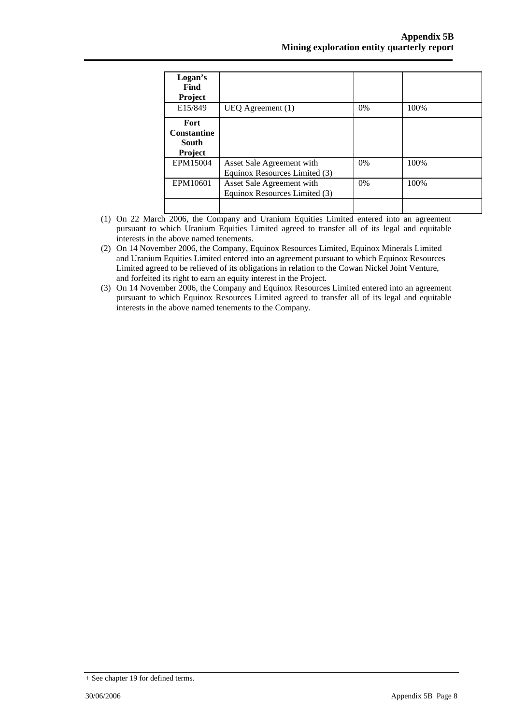| Logan's<br>Find<br>Project                     |                                                            |       |       |
|------------------------------------------------|------------------------------------------------------------|-------|-------|
| E15/849                                        | UEQ Agreement $(1)$                                        | $0\%$ | 100\% |
| Fort<br><b>Constantine</b><br>South<br>Project |                                                            |       |       |
| EPM15004                                       | Asset Sale Agreement with<br>Equinox Resources Limited (3) | $0\%$ | 100\% |
| EPM10601                                       | Asset Sale Agreement with<br>Equinox Resources Limited (3) | $0\%$ | 100\% |

- (1) On 22 March 2006, the Company and Uranium Equities Limited entered into an agreement pursuant to which Uranium Equities Limited agreed to transfer all of its legal and equitable interests in the above named tenements.
- (2) On 14 November 2006, the Company, Equinox Resources Limited, Equinox Minerals Limited and Uranium Equities Limited entered into an agreement pursuant to which Equinox Resources Limited agreed to be relieved of its obligations in relation to the Cowan Nickel Joint Venture, and forfeited its right to earn an equity interest in the Project.
- (3) On 14 November 2006, the Company and Equinox Resources Limited entered into an agreement pursuant to which Equinox Resources Limited agreed to transfer all of its legal and equitable interests in the above named tenements to the Company.

<sup>+</sup> See chapter 19 for defined terms.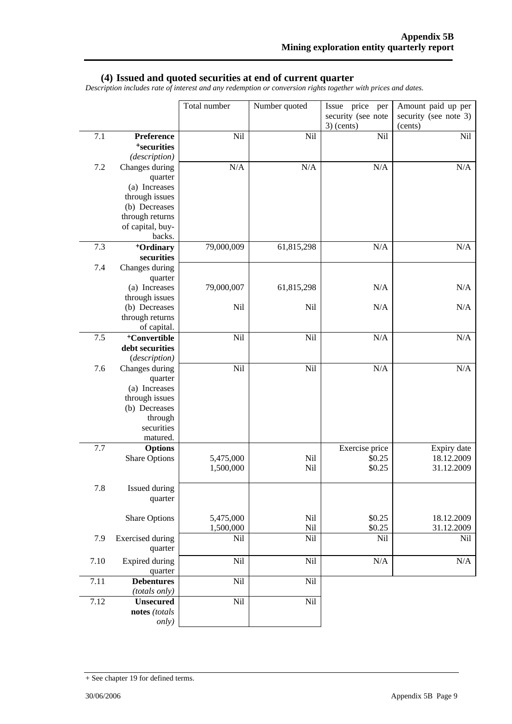#### **(4) Issued and quoted securities at end of current quarter**

*Description includes rate of interest and any redemption or conversion rights together with prices and dates.* 

|      |                                  | Total number | Number quoted | Issue price per                    | Amount paid up per               |
|------|----------------------------------|--------------|---------------|------------------------------------|----------------------------------|
|      |                                  |              |               | security (see note<br>$3)$ (cents) | security (see note 3)<br>(cents) |
| 7.1  | Preference                       | Nil          | Nil           | Nil                                | Nil                              |
|      | <sup>+</sup> securities          |              |               |                                    |                                  |
|      | (description)                    |              |               |                                    |                                  |
| 7.2  | Changes during                   | N/A          | N/A           | N/A                                | N/A                              |
|      | quarter                          |              |               |                                    |                                  |
|      | (a) Increases<br>through issues  |              |               |                                    |                                  |
|      | (b) Decreases                    |              |               |                                    |                                  |
|      | through returns                  |              |               |                                    |                                  |
|      | of capital, buy-                 |              |               |                                    |                                  |
|      | backs.                           |              |               |                                    |                                  |
| 7.3  | +Ordinary                        | 79,000,009   | 61,815,298    | N/A                                | N/A                              |
|      | securities                       |              |               |                                    |                                  |
| 7.4  | Changes during                   |              |               |                                    |                                  |
|      | quarter                          |              |               |                                    |                                  |
|      | (a) Increases                    | 79,000,007   | 61,815,298    | N/A                                | N/A                              |
|      | through issues                   |              |               |                                    |                                  |
|      | (b) Decreases                    | Nil          | Nil           | N/A                                | N/A                              |
|      | through returns                  |              |               |                                    |                                  |
|      | of capital.                      |              |               |                                    |                                  |
| 7.5  | <sup>+</sup> Convertible         | Nil          | Nil           | N/A                                | N/A                              |
|      | debt securities<br>(description) |              |               |                                    |                                  |
| 7.6  | Changes during                   | Nil          | Nil           | N/A                                | N/A                              |
|      | quarter                          |              |               |                                    |                                  |
|      | (a) Increases                    |              |               |                                    |                                  |
|      | through issues                   |              |               |                                    |                                  |
|      | (b) Decreases                    |              |               |                                    |                                  |
|      | through                          |              |               |                                    |                                  |
|      | securities                       |              |               |                                    |                                  |
|      | matured.                         |              |               |                                    |                                  |
| 7.7  | <b>Options</b>                   |              |               | Exercise price                     | Expiry date                      |
|      | <b>Share Options</b>             | 5,475,000    | Nil           | \$0.25                             | 18.12.2009                       |
|      |                                  | 1,500,000    | Nil           | \$0.25                             | 31.12.2009                       |
| 7.8  | Issued during                    |              |               |                                    |                                  |
|      | quarter                          |              |               |                                    |                                  |
|      |                                  |              |               |                                    |                                  |
|      | <b>Share Options</b>             | 5,475,000    | Nil           | \$0.25                             | 18.12.2009                       |
|      |                                  | 1,500,000    | Nil           | \$0.25                             | 31.12.2009                       |
| 7.9  | <b>Exercised</b> during          | Nil          | Nil           | Nil                                | Nil                              |
|      | quarter                          |              |               |                                    |                                  |
| 7.10 | Expired during                   | Nil          | Nil           | N/A                                | $\rm N/A$                        |
|      | quarter                          |              |               |                                    |                                  |
| 7.11 | <b>Debentures</b>                | Nil          | Nil           |                                    |                                  |
|      | (totals only)                    |              |               |                                    |                                  |
| 7.12 | <b>Unsecured</b>                 | Nil          | Nil           |                                    |                                  |
|      | notes (totals                    |              |               |                                    |                                  |
|      | only)                            |              |               |                                    |                                  |

<sup>+</sup> See chapter 19 for defined terms.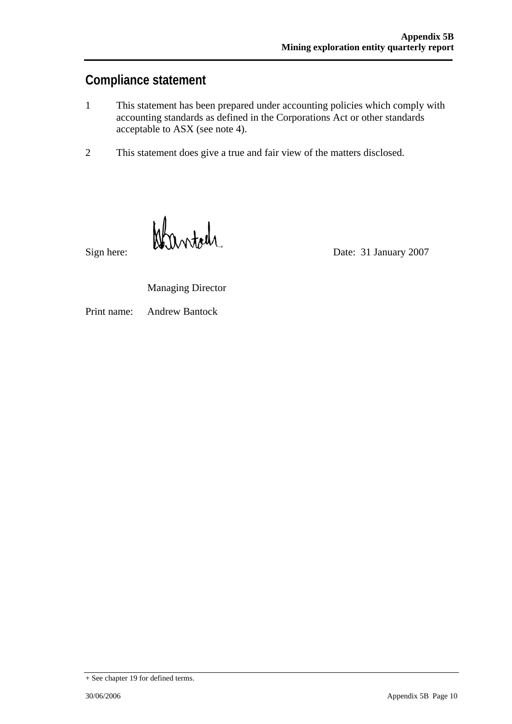### **Compliance statement**

- 1 This statement has been prepared under accounting policies which comply with accounting standards as defined in the Corporations Act or other standards acceptable to ASX (see note 4).
- 2 This statement does give a true and fair view of the matters disclosed.

Sign here: Date: 31 January 2007

Managing Director

Print name: Andrew Bantock

<sup>+</sup> See chapter 19 for defined terms.